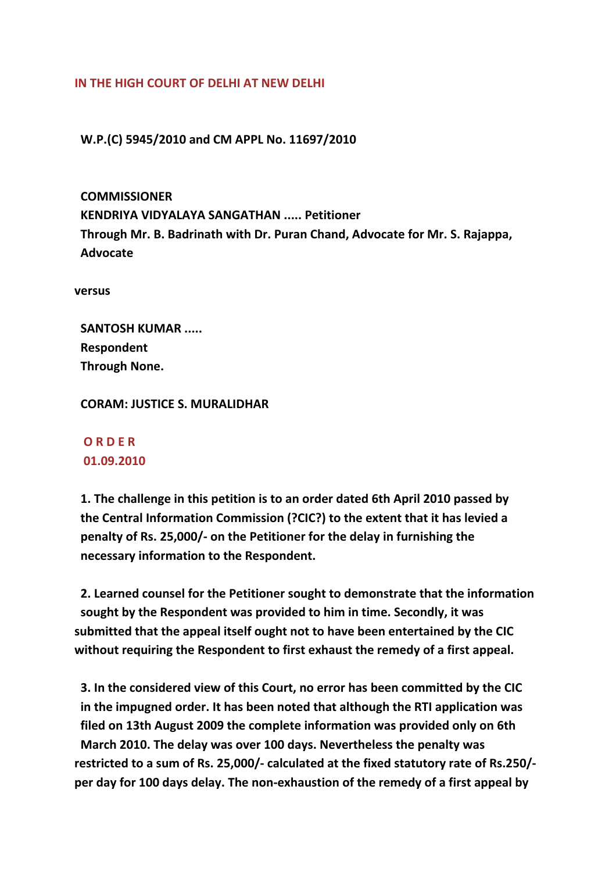## **IN THE HIGH COURT OF DELHI AT NEW DELHI**

 **W.P.(C) 5945/2010 and CM APPL No. 11697/2010**

 **COMMISSIONER KENDRIYA VIDYALAYA SANGATHAN ..... Petitioner Through Mr. B. Badrinath with Dr. Puran Chand, Advocate for Mr. S. Rajappa, Advocate**

**versus**

 **SANTOSH KUMAR ..... Respondent Through None.**

 **CORAM: JUSTICE S. MURALIDHAR**

## **O R D E R 01.09.2010**

 **1. The challenge in this petition is to an order dated 6th April 2010 passed by the Central Information Commission (?CIC?) to the extent that it has levied a penalty of Rs. 25,000/‐ on the Petitioner for the delay in furnishing the necessary information to the Respondent.**

 **2. Learned counsel for the Petitioner sought to demonstrate that the information sought by the Respondent was provided to him in time. Secondly, it was submitted that the appeal itself ought not to have been entertained by the CIC without requiring the Respondent to first exhaust the remedy of a first appeal.**

 **3. In the considered view of this Court, no error has been committed by the CIC in the impugned order. It has been noted that although the RTI application was filed on 13th August 2009 the complete information was provided only on 6th March 2010. The delay was over 100 days. Nevertheless the penalty was restricted to a sum of Rs. 25,000/‐ calculated at the fixed statutory rate of Rs.250/‐ per day for 100 days delay. The non‐exhaustion of the remedy of a first appeal by**